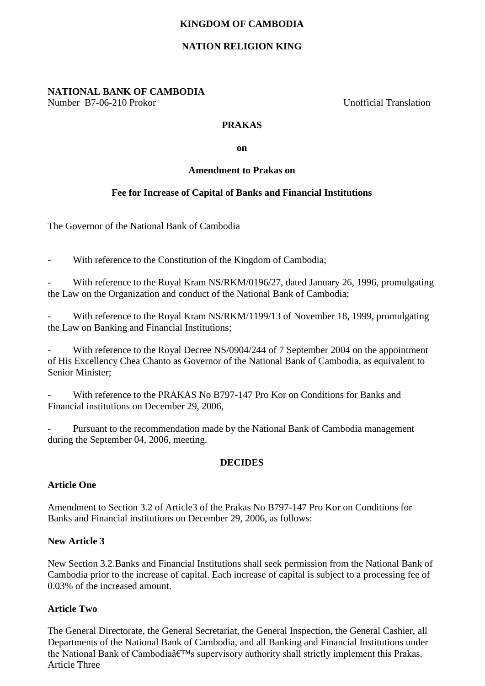# **KINGDOM OF CAMBODIA**

# **NATION RELIGION KING**

**NATIONAL BANK OF CAMBODIA** Number B7-06-210 Prokor Unofficial Translation

## **PRAKAS**

**on**

#### **Amendment to Prakas on**

## **Fee for Increase of Capital of Banks and Financial Institutions**

The Governor of the National Bank of Cambodia

With reference to the Constitution of the Kingdom of Cambodia;

With reference to the Royal Kram NS/RKM/0196/27, dated January 26, 1996, promulgating the Law on the Organization and conduct of the National Bank of Cambodia;

With reference to the Royal Kram NS/RKM/1199/13 of November 18, 1999, promulgating the Law on Banking and Financial Institutions;

With reference to the Royal Decree NS/0904/244 of 7 September 2004 on the appointment of His Excellency Chea Chanto as Governor of the National Bank of Cambodia, as equivalent to Senior Minister;

With reference to the PRAKAS No B797-147 Pro Kor on Conditions for Banks and Financial institutions on December 29, 2006,

Pursuant to the recommendation made by the National Bank of Cambodia management during the September 04, 2006, meeting.

## **DECIDES**

#### **Article One**

Amendment to Section 3.2 of Article3 of the Prakas No B797-147 Pro Kor on Conditions for Banks and Financial institutions on December 29, 2006, as follows:

#### **New Article 3**

New Section 3.2.Banks and Financial Institutions shall seek permission from the National Bank of Cambodia prior to the increase of capital. Each increase of capital is subject to a processing fee of 0.03% of the increased amount.

#### **Article Two**

The General Directorate, the General Secretariat, the General Inspection, the General Cashier, all Departments of the National Bank of Cambodia, and all Banking and Financial Institutions under the National Bank of Cambodia $\hat{a} \in T^{M}$ s supervisory authority shall strictly implement this Prakas. Article Three